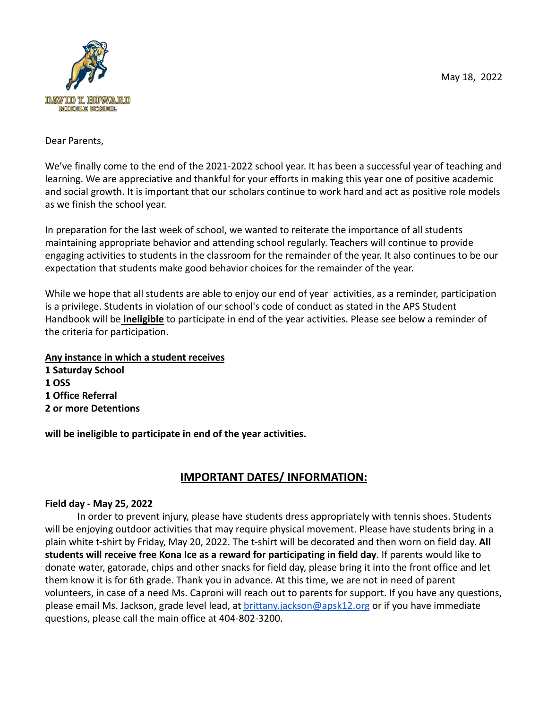

Dear Parents,

We've finally come to the end of the 2021-2022 school year. It has been a successful year of teaching and learning. We are appreciative and thankful for your efforts in making this year one of positive academic and social growth. It is important that our scholars continue to work hard and act as positive role models as we finish the school year.

In preparation for the last week of school, we wanted to reiterate the importance of all students maintaining appropriate behavior and attending school regularly. Teachers will continue to provide engaging activities to students in the classroom for the remainder of the year. It also continues to be our expectation that students make good behavior choices for the remainder of the year.

While we hope that all students are able to enjoy our end of year activities, as a reminder, participation is a privilege. Students in violation of our school's code of conduct as stated in the APS Student Handbook will be **ineligible** to participate in end of the year activities. Please see below a reminder of the criteria for participation.

**Any instance in which a student receives**

**1 Saturday School 1 OSS 1 Office Referral 2 or more Detentions**

**will be ineligible to participate in end of the year activities.**

# **IMPORTANT DATES/ INFORMATION:**

## **Field day - May 25, 2022**

In order to prevent injury, please have students dress appropriately with tennis shoes. Students will be enjoying outdoor activities that may require physical movement. Please have students bring in a plain white t-shirt by Friday, May 20, 2022. The t-shirt will be decorated and then worn on field day. **All students will receive free Kona Ice as a reward for participating in field day**. If parents would like to donate water, gatorade, chips and other snacks for field day, please bring it into the front office and let them know it is for 6th grade. Thank you in advance. At this time, we are not in need of parent volunteers, in case of a need Ms. Caproni will reach out to parents for support. If you have any questions, please email Ms. Jackson, grade level lead, at [brittany.jackson@apsk12.org](mailto:brittany.jackson@apsk12.org) or if you have immediate questions, please call the main office at 404-802-3200.